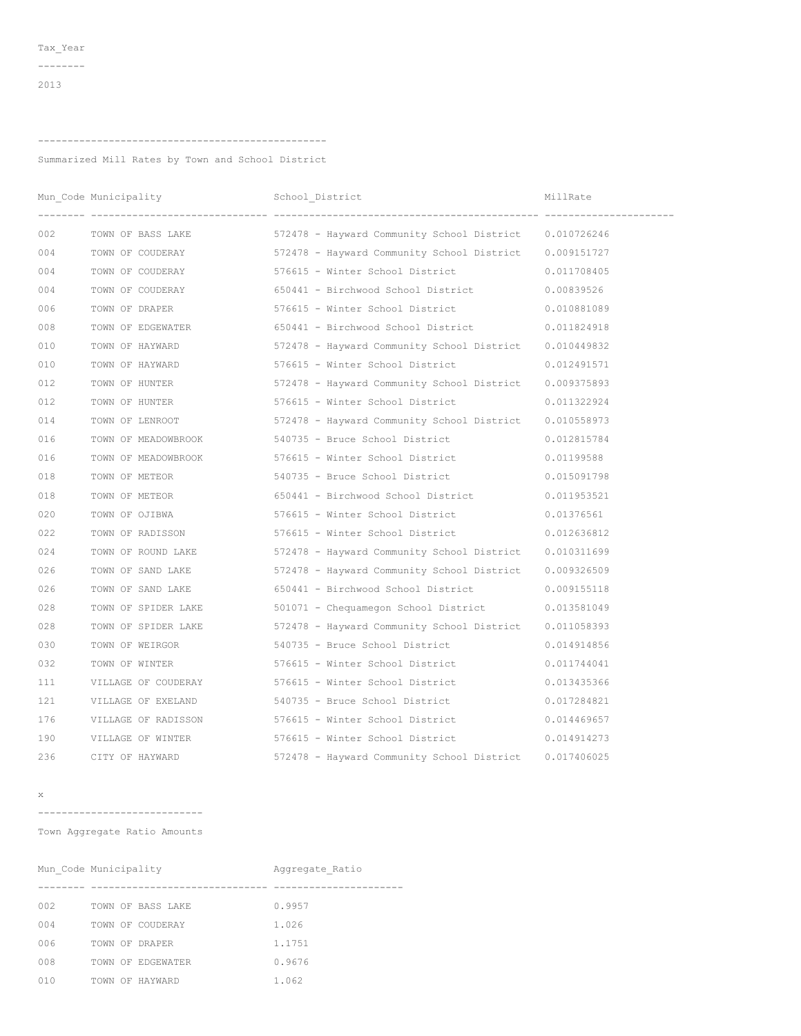## 

Summarized Mill Rates by Town and School District

| Mun_Code Municipality School_District |                  |                                                                              | MillRate    |  |
|---------------------------------------|------------------|------------------------------------------------------------------------------|-------------|--|
|                                       |                  | 002 TOWN OF BASS LAKE 572478 - Hayward Community School District 0.010726246 |             |  |
|                                       |                  | 004 TOWN OF COUDERAY 572478 - Hayward Community School District 0.009151727  |             |  |
| 004                                   | TOWN OF COUDERAY | 576615 - Winter School District                                              | 0.011708405 |  |
| 004                                   |                  | TOWN OF COUDERAY 650441 - Birchwood School District 0.00839526               |             |  |
| 006                                   |                  | TOWN OF DRAPER 576615 - Winter School District                               | 0.010881089 |  |
| 008                                   |                  | TOWN OF EDGEWATER 650441 - Birchwood School District 0.011824918             |             |  |
| 010                                   |                  | TOWN OF HAYWARD 572478 - Hayward Community School District 0.010449832       |             |  |
| 010                                   |                  | TOWN OF HAYWARD 576615 - Winter School District 0.012491571                  |             |  |
| 012                                   |                  | TOWN OF HUNTER 572478 - Hayward Community School District 0.009375893        |             |  |
| 012                                   |                  | TOWN OF HUNTER 576615 - Winter School District 0.011322924                   |             |  |
| 014                                   |                  | TOWN OF LENROOT 572478 - Hayward Community School District 0.010558973       |             |  |
| 016                                   |                  | TOWN OF MEADOWBROOK 540735 - Bruce School District                           | 0.012815784 |  |
| 016                                   |                  | TOWN OF MEADOWBROOK 576615 - Winter School District 0.01199588               |             |  |
| 018                                   |                  | TOWN OF METEOR 540735 - Bruce School District 0.015091798                    |             |  |
| 018                                   |                  | TOWN OF METEOR 650441 - Birchwood School District 0.011953521                |             |  |
| 020                                   |                  | TOWN OF OJIBWA 576615 - Winter School District 0.01376561                    |             |  |
| 022                                   |                  | TOWN OF RADISSON 576615 - Winter School District 0.012636812                 |             |  |
| 024                                   |                  | TOWN OF ROUND LAKE 572478 - Hayward Community School District 0.010311699    |             |  |
| 026                                   |                  | TOWN OF SAND LAKE 572478 - Hayward Community School District 0.009326509     |             |  |
| 026                                   |                  | TOWN OF SAND LAKE 650441 - Birchwood School District 0.009155118             |             |  |
| 028                                   |                  | TOWN OF SPIDER LAKE 501071 - Chequamegon School District 0.013581049         |             |  |
| 028                                   |                  | TOWN OF SPIDER LAKE 572478 - Hayward Community School District 0.011058393   |             |  |
| 030                                   |                  | TOWN OF WEIRGOR 540735 - Bruce School District 0.014914856                   |             |  |
| 032                                   |                  | TOWN OF WINTER 576615 - Winter School District                               | 0.011744041 |  |
| 111                                   |                  | VILLAGE OF COUDERAY 576615 - Winter School District 0.013435366              |             |  |
| 121                                   |                  | VILLAGE OF EXELAND 540735 - Bruce School District                            | 0.017284821 |  |
| 176                                   |                  | VILLAGE OF RADISSON 576615 - Winter School District 0.014469657              |             |  |
| 190                                   |                  | VILLAGE OF WINTER 576615 - Winter School District 0.014914273                |             |  |
| 236                                   | CITY OF HAYWARD  | 572478 - Hayward Community School District 0.017406025                       |             |  |

x

\_\_\_\_\_\_\_\_\_\_\_\_\_\_\_\_\_\_\_\_\_\_\_\_\_\_\_\_\_\_

Town Aggregate Ratio Amounts

| Mun Code Municipality |                |                   | Aggregate Ratio |
|-----------------------|----------------|-------------------|-----------------|
|                       |                |                   |                 |
| 002                   |                | TOWN OF BASS LAKE | 0.9957          |
| 004                   |                | TOWN OF COUDERAY  | 1.026           |
| 006                   | TOWN OF DRAPER |                   | 1.1751          |
| 008                   |                | TOWN OF EDGEWATER | 0.9676          |
| 010                   |                | TOWN OF HAYWARD   | 1.062           |